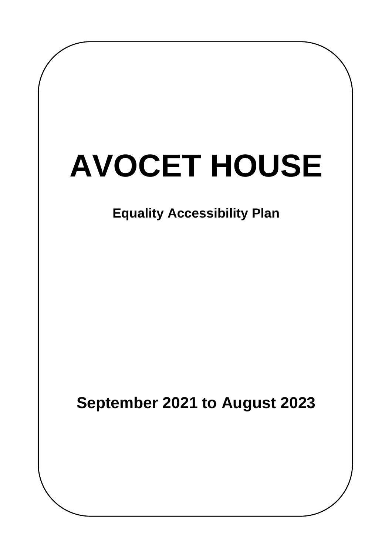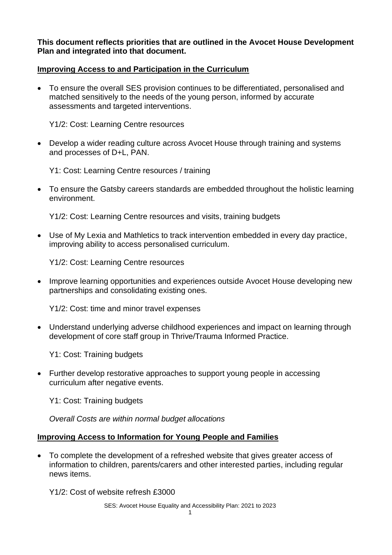**This document reflects priorities that are outlined in the Avocet House Development Plan and integrated into that document.**

## **Improving Access to and Participation in the Curriculum**

• To ensure the overall SES provision continues to be differentiated, personalised and matched sensitively to the needs of the young person, informed by accurate assessments and targeted interventions.

Y1/2: Cost: Learning Centre resources

• Develop a wider reading culture across Avocet House through training and systems and processes of D+L, PAN.

Y1: Cost: Learning Centre resources / training

• To ensure the Gatsby careers standards are embedded throughout the holistic learning environment.

Y1/2: Cost: Learning Centre resources and visits, training budgets

• Use of My Lexia and Mathletics to track intervention embedded in every day practice, improving ability to access personalised curriculum.

Y1/2: Cost: Learning Centre resources

• Improve learning opportunities and experiences outside Avocet House developing new partnerships and consolidating existing ones.

Y1/2: Cost: time and minor travel expenses

• Understand underlying adverse childhood experiences and impact on learning through development of core staff group in Thrive/Trauma Informed Practice.

Y1: Cost: Training budgets

• Further develop restorative approaches to support young people in accessing curriculum after negative events.

Y1: Cost: Training budgets

*Overall Costs are within normal budget allocations*

## **Improving Access to Information for Young People and Families**

• To complete the development of a refreshed website that gives greater access of information to children, parents/carers and other interested parties, including regular news items.

Y1/2: Cost of website refresh £3000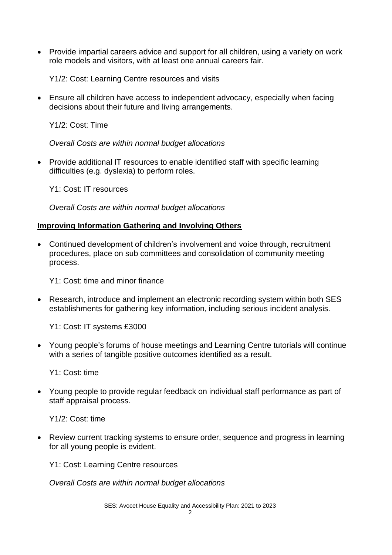• Provide impartial careers advice and support for all children, using a variety on work role models and visitors, with at least one annual careers fair.

Y1/2: Cost: Learning Centre resources and visits

• Ensure all children have access to independent advocacy, especially when facing decisions about their future and living arrangements.

Y1/2: Cost: Time

*Overall Costs are within normal budget allocations*

• Provide additional IT resources to enable identified staff with specific learning difficulties (e.g. dyslexia) to perform roles.

Y1: Cost: IT resources

*Overall Costs are within normal budget allocations*

## **Improving Information Gathering and Involving Others**

• Continued development of children's involvement and voice through, recruitment procedures, place on sub committees and consolidation of community meeting process.

Y1: Cost: time and minor finance

• Research, introduce and implement an electronic recording system within both SES establishments for gathering key information, including serious incident analysis.

Y1: Cost: IT systems £3000

• Young people's forums of house meetings and Learning Centre tutorials will continue with a series of tangible positive outcomes identified as a result.

Y1: Cost: time

• Young people to provide regular feedback on individual staff performance as part of staff appraisal process.

Y1/2: Cost: time

• Review current tracking systems to ensure order, sequence and progress in learning for all young people is evident.

Y1: Cost: Learning Centre resources

*Overall Costs are within normal budget allocations*